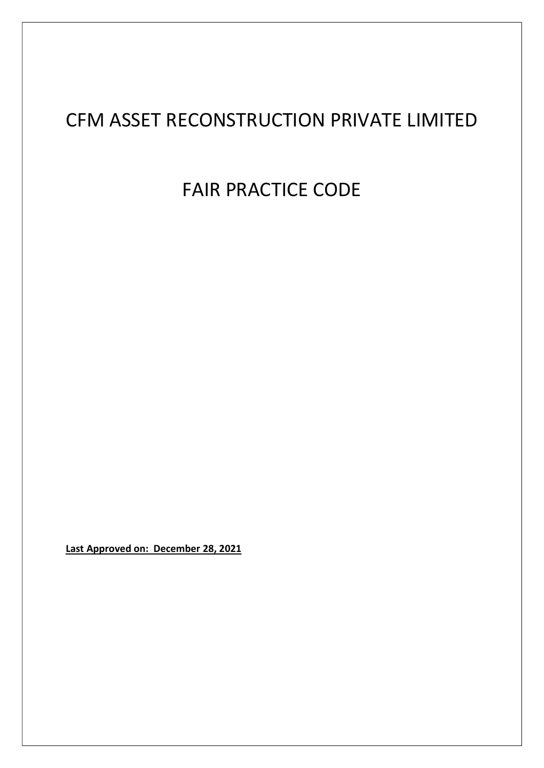# CFM ASSET RECONSTRUCTION PRIVATE LIMITED

FAIR PRACTICE CODE

Last Approved on: December 28, 2021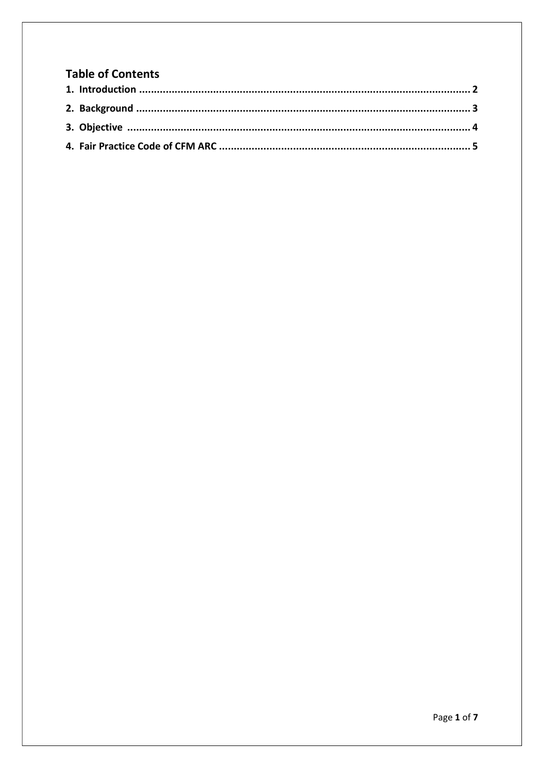# **Table of Contents**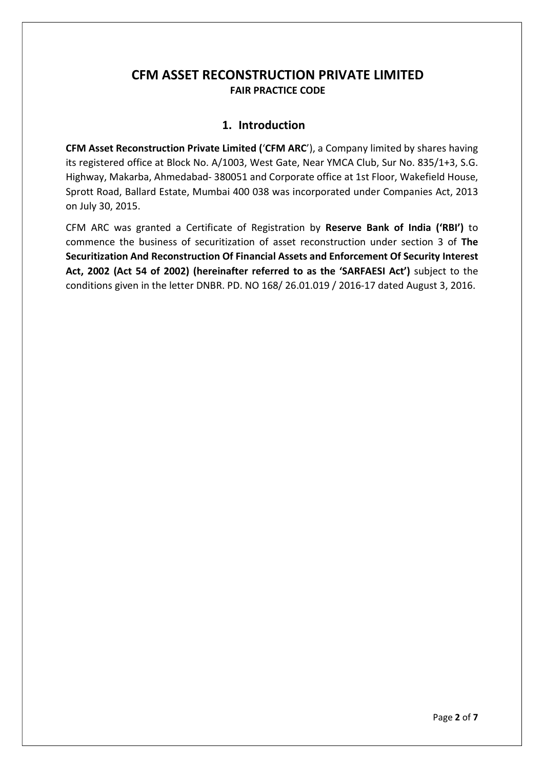# CFM ASSET RECONSTRUCTION PRIVATE LIMITED FAIR PRACTICE CODE

## 1. Introduction

CFM Asset Reconstruction Private Limited ('CFM ARC'), a Company limited by shares having its registered office at Block No. A/1003, West Gate, Near YMCA Club, Sur No. 835/1+3, S.G. Highway, Makarba, Ahmedabad- 380051 and Corporate office at 1st Floor, Wakefield House, Sprott Road, Ballard Estate, Mumbai 400 038 was incorporated under Companies Act, 2013 on July 30, 2015.

CFM ARC was granted a Certificate of Registration by Reserve Bank of India ('RBI') to commence the business of securitization of asset reconstruction under section 3 of The Securitization And Reconstruction Of Financial Assets and Enforcement Of Security Interest Act, 2002 (Act 54 of 2002) (hereinafter referred to as the 'SARFAESI Act') subject to the conditions given in the letter DNBR. PD. NO 168/ 26.01.019 / 2016-17 dated August 3, 2016.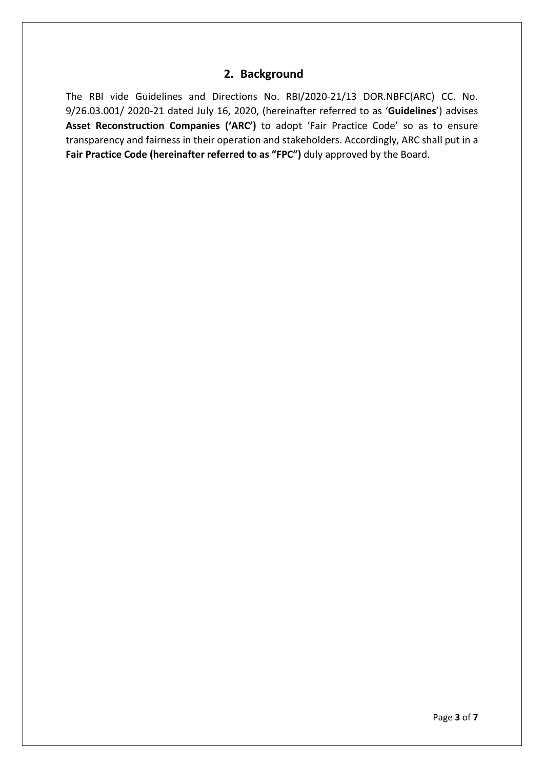## 2. Background

The RBI vide Guidelines and Directions No. RBI/2020-21/13 DOR.NBFC(ARC) CC. No. 9/26.03.001/ 2020-21 dated July 16, 2020, (hereinafter referred to as 'Guidelines') advises Asset Reconstruction Companies ('ARC') to adopt 'Fair Practice Code' so as to ensure transparency and fairness in their operation and stakeholders. Accordingly, ARC shall put in a Fair Practice Code (hereinafter referred to as "FPC") duly approved by the Board.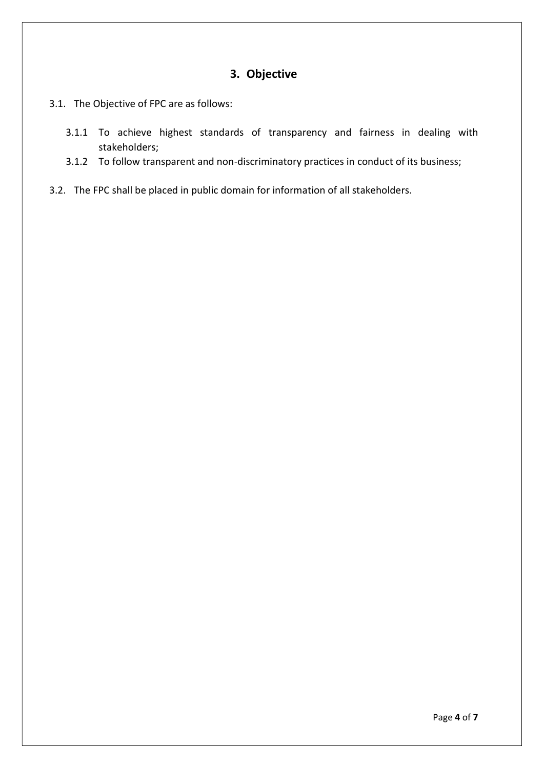# 3. Objective

- 3.1. The Objective of FPC are as follows:
	- 3.1.1 To achieve highest standards of transparency and fairness in dealing with stakeholders;
	- 3.1.2 To follow transparent and non-discriminatory practices in conduct of its business;
- 3.2. The FPC shall be placed in public domain for information of all stakeholders.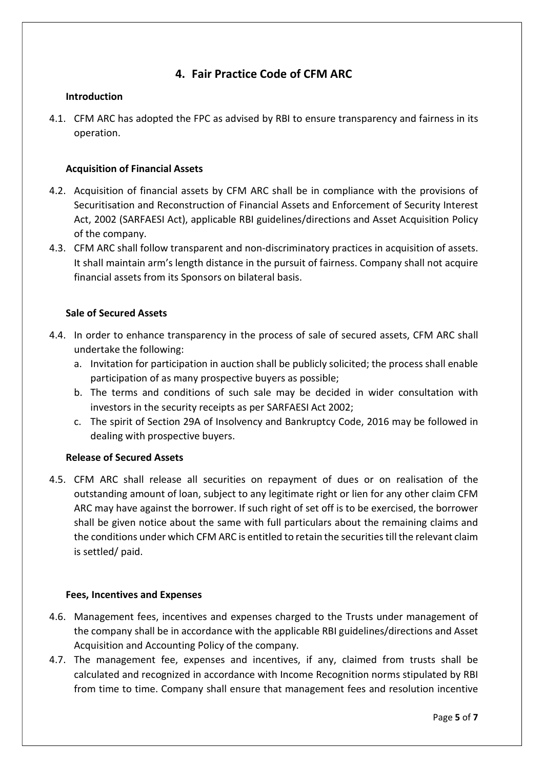# 4. Fair Practice Code of CFM ARC

## Introduction

4.1. CFM ARC has adopted the FPC as advised by RBI to ensure transparency and fairness in its operation.

## Acquisition of Financial Assets

- 4.2. Acquisition of financial assets by CFM ARC shall be in compliance with the provisions of Securitisation and Reconstruction of Financial Assets and Enforcement of Security Interest Act, 2002 (SARFAESI Act), applicable RBI guidelines/directions and Asset Acquisition Policy of the company.
- 4.3. CFM ARC shall follow transparent and non-discriminatory practices in acquisition of assets. It shall maintain arm's length distance in the pursuit of fairness. Company shall not acquire financial assets from its Sponsors on bilateral basis.

#### Sale of Secured Assets

- 4.4. In order to enhance transparency in the process of sale of secured assets, CFM ARC shall undertake the following:
	- a. Invitation for participation in auction shall be publicly solicited; the process shall enable participation of as many prospective buyers as possible;
	- b. The terms and conditions of such sale may be decided in wider consultation with investors in the security receipts as per SARFAESI Act 2002;
	- c. The spirit of Section 29A of Insolvency and Bankruptcy Code, 2016 may be followed in dealing with prospective buyers.

#### Release of Secured Assets

4.5. CFM ARC shall release all securities on repayment of dues or on realisation of the outstanding amount of loan, subject to any legitimate right or lien for any other claim CFM ARC may have against the borrower. If such right of set off is to be exercised, the borrower shall be given notice about the same with full particulars about the remaining claims and the conditions under which CFM ARC is entitled to retain the securities till the relevant claim is settled/ paid.

#### Fees, Incentives and Expenses

- 4.6. Management fees, incentives and expenses charged to the Trusts under management of the company shall be in accordance with the applicable RBI guidelines/directions and Asset Acquisition and Accounting Policy of the company.
- 4.7. The management fee, expenses and incentives, if any, claimed from trusts shall be calculated and recognized in accordance with Income Recognition norms stipulated by RBI from time to time. Company shall ensure that management fees and resolution incentive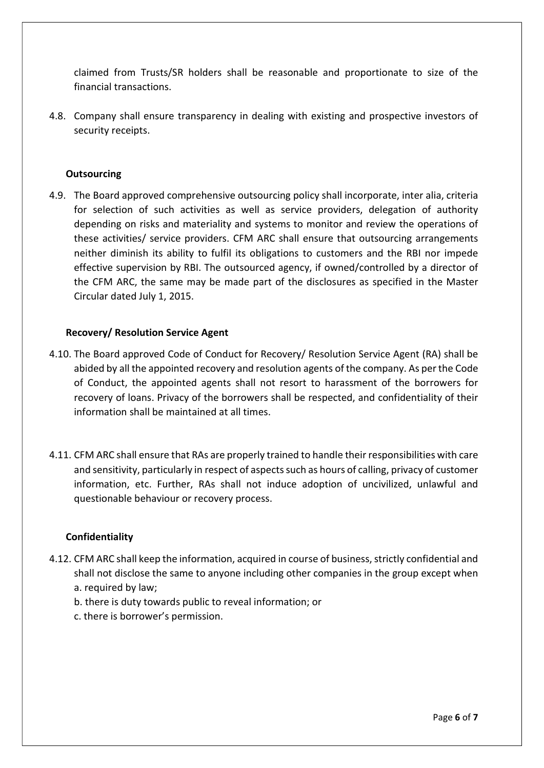claimed from Trusts/SR holders shall be reasonable and proportionate to size of the financial transactions.

4.8. Company shall ensure transparency in dealing with existing and prospective investors of security receipts.

### **Outsourcing**

4.9. The Board approved comprehensive outsourcing policy shall incorporate, inter alia, criteria for selection of such activities as well as service providers, delegation of authority depending on risks and materiality and systems to monitor and review the operations of these activities/ service providers. CFM ARC shall ensure that outsourcing arrangements neither diminish its ability to fulfil its obligations to customers and the RBI nor impede effective supervision by RBI. The outsourced agency, if owned/controlled by a director of the CFM ARC, the same may be made part of the disclosures as specified in the Master Circular dated July 1, 2015.

#### Recovery/ Resolution Service Agent

- 4.10. The Board approved Code of Conduct for Recovery/ Resolution Service Agent (RA) shall be abided by all the appointed recovery and resolution agents of the company. As per the Code of Conduct, the appointed agents shall not resort to harassment of the borrowers for recovery of loans. Privacy of the borrowers shall be respected, and confidentiality of their information shall be maintained at all times.
- 4.11. CFM ARC shall ensure that RAs are properly trained to handle their responsibilities with care and sensitivity, particularly in respect of aspects such as hours of calling, privacy of customer information, etc. Further, RAs shall not induce adoption of uncivilized, unlawful and questionable behaviour or recovery process.

#### Confidentiality

- 4.12. CFM ARC shall keep the information, acquired in course of business, strictly confidential and shall not disclose the same to anyone including other companies in the group except when a. required by law;
	- b. there is duty towards public to reveal information; or
	- c. there is borrower's permission.